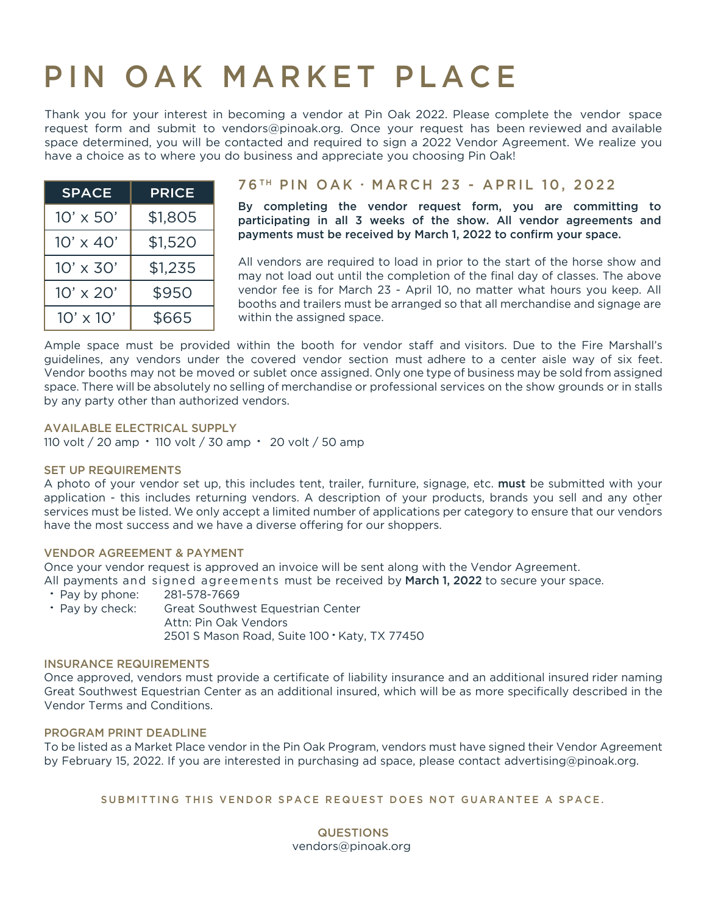# PIN OAK MARKET PLACE

Thank you for your interest in becoming a vendor at Pin Oak 2022. Please complete the vendor space request form and submit to vendors@pinoak.org. Once your request has been reviewed and available space determined, you will be contacted and required to sign a 2022 Vendor Agreement. We realize you have a choice as to where you do business and appreciate you choosing Pin Oak!

| <b>SPACE</b>     | <b>PRICE</b> |
|------------------|--------------|
| $10' \times 50'$ | \$1,805      |
| $10' \times 40'$ | \$1,520      |
| $10' \times 30'$ | \$1,235      |
| $10' \times 20'$ | \$950        |
| $10' \times 10'$ | \$665        |

### 76<sup>TH</sup> PIN OAK · MARCH 23 - APRIL 10, 2022

By completing the vendor request form, you are committing to participating in all 3 weeks of the show. All vendor agreements and payments must be received by March 1, 2022 to confirm your space.

All vendors are required to load in prior to the start of the horse show and may not load out until the completion of the final day of classes. The above vendor fee is for March 23 - April 10, no matter what hours you keep. All booths and trailers must be arranged so that all merchandise and signage are within the assigned space.

Ample space must be provided within the booth for vendor staff and visitors. Due to the Fire Marshall's guidelines, any vendors under the covered vendor section must adhere to a center aisle way of six feet. Vendor booths may not be moved or sublet once assigned. Only one type of business may be sold from assigned space. There will be absolutely no selling of merchandise or professional services on the show grounds or in stalls by any party other than authorized vendors.

#### AVAILABLE ELECTRICAL SUPPLY

110 volt / 20 amp - 110 volt / 30 amp - 20 volt / 50 amp

#### SET UP REQUIREMENTS

application - this includes returning vendors. A description of your products, brands you sell and any other A photo of your vendor set up, this includes tent, trailer, furniture, signage, etc. must be submitted with your services must be listed. We only accept a limited number of applications per category to ensure that our vendors have the most success and we have a diverse offering for our shoppers.

#### VENDOR AGREEMENT & PAYMENT

Once your vendor request is approved an invoice will be sent along with the Vendor Agreement. All payments and signed agreements must be received by **March 1, 2022** to secure your space.

- Pay by phone: 281-578-7669
- Pay by check: Great Southwest Equestrian Center Attn: Pin Oak Vendors 2501 S Mason Road, Suite 100 - Katy, TX 77450

#### INSURANCE REQUIREMENTS

Once approved, vendors must provide a certificate of liability insurance and an additional insured rider naming Great Southwest Equestrian Center as an additional insured, which will be as more specifically described in the Vendor Terms and Conditions.

#### PROGRAM PRINT DEADLINE

To be listed as a Market Place vendor in the Pin Oak Program, vendors must have signed their Vendor Agreement by February 15, 2022. If you are interested in purchasing ad space, please contact advertising@pinoak.org.

#### SUBMITTING THIS VENDOR SPACE REQUEST DOES NOT GUARANTEE A SPACE.

#### **QUESTIONS** vendors@pinoak.org